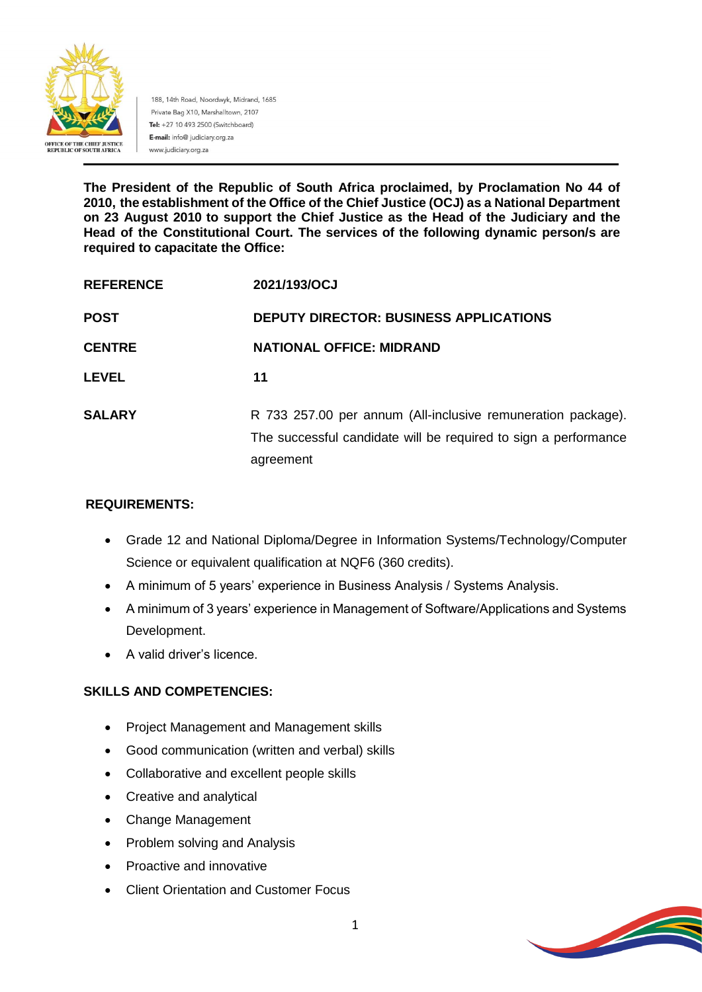

188, 14th Road, Noordwyk, Midrand, 1685 Private Bag X10, Marshalltown, 2107 Tel: +27 10 493 2500 (Switchboard) E-mail: info@ judiciary.org.za www.judiciary.org.za

**The President of the Republic of South Africa proclaimed, by Proclamation No 44 of 2010, the establishment of the Office of the Chief Justice (OCJ) as a National Department on 23 August 2010 to support the Chief Justice as the Head of the Judiciary and the Head of the Constitutional Court. The services of the following dynamic person/s are required to capacitate the Office:**

| <b>REFERENCE</b> | 2021/193/OCJ                                                                                                                                 |
|------------------|----------------------------------------------------------------------------------------------------------------------------------------------|
| <b>POST</b>      | <b>DEPUTY DIRECTOR: BUSINESS APPLICATIONS</b>                                                                                                |
| <b>CENTRE</b>    | <b>NATIONAL OFFICE: MIDRAND</b>                                                                                                              |
| <b>LEVEL</b>     | 11                                                                                                                                           |
| <b>SALARY</b>    | R 733 257.00 per annum (All-inclusive remuneration package).<br>The successful candidate will be required to sign a performance<br>agreement |

## **REQUIREMENTS:**

- Grade 12 and National Diploma/Degree in Information Systems/Technology/Computer Science or equivalent qualification at NQF6 (360 credits).
- A minimum of 5 years' experience in Business Analysis / Systems Analysis.
- A minimum of 3 years' experience in Management of Software/Applications and Systems Development.
- A valid driver's licence.

## **SKILLS AND COMPETENCIES:**

- Project Management and Management skills
- Good communication (written and verbal) skills
- Collaborative and excellent people skills
- Creative and analytical
- Change Management
- Problem solving and Analysis
- Proactive and innovative
- Client Orientation and Customer Focus

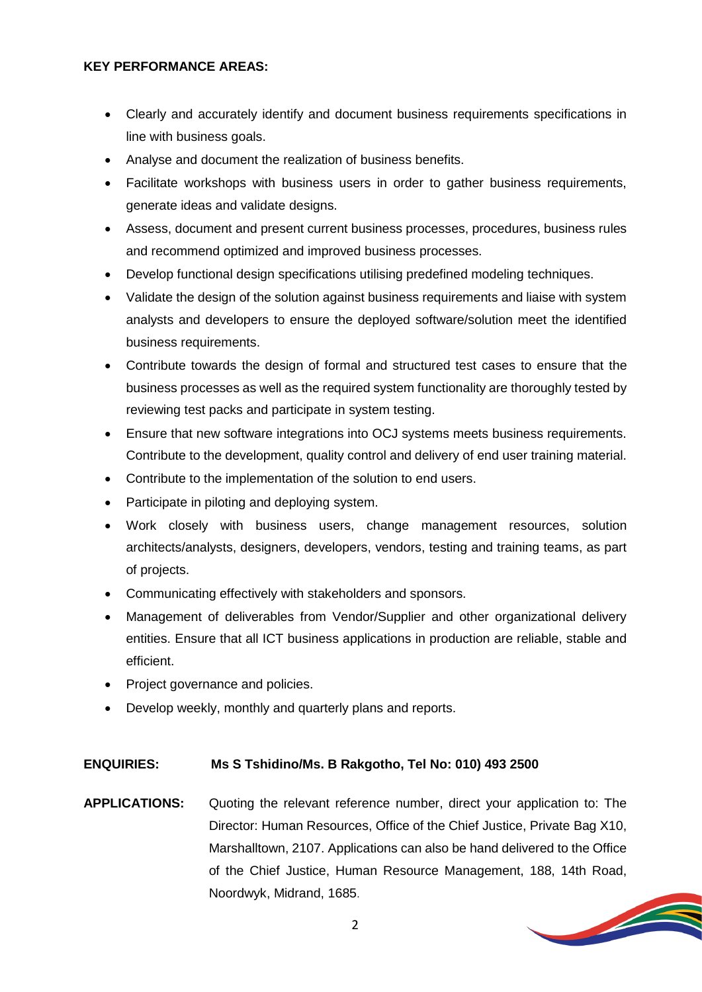#### **KEY PERFORMANCE AREAS:**

- Clearly and accurately identify and document business requirements specifications in line with business goals.
- Analyse and document the realization of business benefits.
- Facilitate workshops with business users in order to gather business requirements, generate ideas and validate designs.
- Assess, document and present current business processes, procedures, business rules and recommend optimized and improved business processes.
- Develop functional design specifications utilising predefined modeling techniques.
- Validate the design of the solution against business requirements and liaise with system analysts and developers to ensure the deployed software/solution meet the identified business requirements.
- Contribute towards the design of formal and structured test cases to ensure that the business processes as well as the required system functionality are thoroughly tested by reviewing test packs and participate in system testing.
- Ensure that new software integrations into OCJ systems meets business requirements. Contribute to the development, quality control and delivery of end user training material.
- Contribute to the implementation of the solution to end users.
- Participate in piloting and deploying system.
- Work closely with business users, change management resources, solution architects/analysts, designers, developers, vendors, testing and training teams, as part of projects.
- Communicating effectively with stakeholders and sponsors.
- Management of deliverables from Vendor/Supplier and other organizational delivery entities. Ensure that all ICT business applications in production are reliable, stable and efficient.
- Project governance and policies.
- Develop weekly, monthly and quarterly plans and reports.

## **ENQUIRIES: Ms S Tshidino/Ms. B Rakgotho, Tel No: 010) 493 2500**

**APPLICATIONS:** Quoting the relevant reference number, direct your application to: The Director: Human Resources, Office of the Chief Justice, Private Bag X10, Marshalltown, 2107. Applications can also be hand delivered to the Office of the Chief Justice, Human Resource Management, 188, 14th Road, Noordwyk, Midrand, 1685.

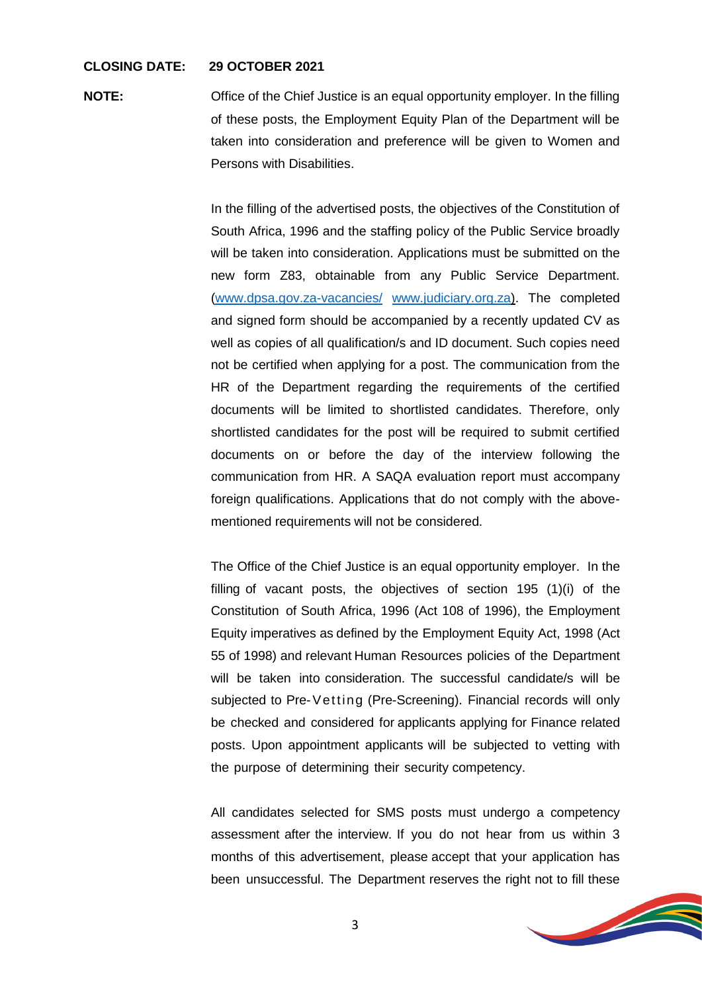#### **CLOSING DATE: 29 OCTOBER 2021**

**NOTE:** Office of the Chief Justice is an equal opportunity employer. In the filling of these posts, the Employment Equity Plan of the Department will be taken into consideration and preference will be given to Women and Persons with Disabilities.

> In the filling of the advertised posts, the objectives of the Constitution of South Africa, 1996 and the staffing policy of the Public Service broadly will be taken into consideration. Applications must be submitted on the new form Z83, obtainable from any Public Service Department. [\(www.dpsa.gov.za-vacancies/](http://www.dpsa.gov.za-vacancies/) [www.judiciary.org.za\)](http://www.judiciary.org.za/). The completed and signed form should be accompanied by a recently updated CV as well as copies of all qualification/s and ID document. Such copies need not be certified when applying for a post. The communication from the HR of the Department regarding the requirements of the certified documents will be limited to shortlisted candidates. Therefore, only shortlisted candidates for the post will be required to submit certified documents on or before the day of the interview following the communication from HR. A SAQA evaluation report must accompany foreign qualifications. Applications that do not comply with the abovementioned requirements will not be considered.

> The Office of the Chief Justice is an equal opportunity employer. In the filling of vacant posts, the objectives of section 195 (1)(i) of the Constitution of South Africa, 1996 (Act 108 of 1996), the Employment Equity imperatives as defined by the Employment Equity Act, 1998 (Act 55 of 1998) and relevant Human Resources policies of the Department will be taken into consideration. The successful candidate/s will be subjected to Pre-Vetting (Pre-Screening). Financial records will only be checked and considered for applicants applying for Finance related posts. Upon appointment applicants will be subjected to vetting with the purpose of determining their security competency.

> All candidates selected for SMS posts must undergo a competency assessment after the interview. If you do not hear from us within 3 months of this advertisement, please accept that your application has been unsuccessful. The Department reserves the right not to fill these

> > **Contract Contract Contract Contract Contract Contract Contract Contract Contract Contract Contract Contract Contract Contract Contract Contract Contract Contract Contract Contract Contract Contract Contract Contract Contr**

3